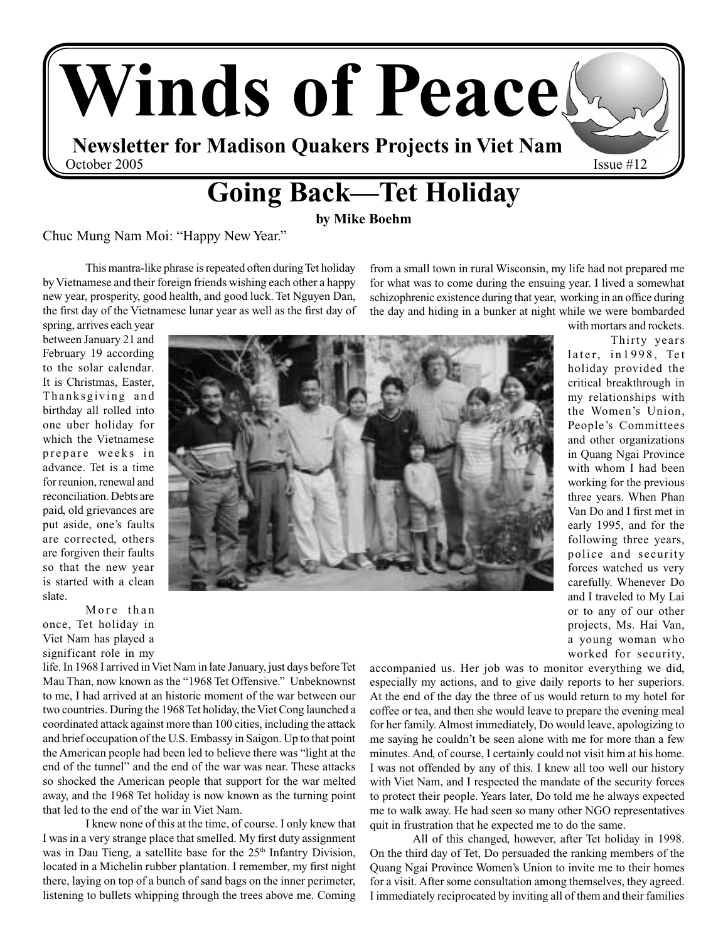

## **Going Back—Tet Holiday**

**by Mike Boehm**

Chuc Mung Nam Moi: "Happy New Year."

This mantra-like phrase is repeated often during Tet holiday by Vietnamese and their foreign friends wishing each other a happy new year, prosperity, good health, and good luck. Tet Nguyen Dan, the first day of the Vietnamese lunar year as well as the first day of

from a small town in rural Wisconsin, my life had not prepared me for what was to come during the ensuing year. I lived a somewhat schizophrenic existence during that year, working in an office during the day and hiding in a bunker at night while we were bombarded

spring, arrives each year between January 21 and February 19 according to the solar calendar. It is Christmas, Easter, Thanksgiving and birthday all rolled into one uber holiday for which the Vietnamese prepare weeks in advance. Tet is a time for reunion, renewal and reconciliation. Debts are paid, old grievances are put aside, one's faults are corrected, others are forgiven their faults so that the new year is started with a clean slate.

More than once, Tet holiday in Viet Nam has played a significant role in my



with mortars and rockets.

Thirty years later,  $in 1998$ , Tet holiday provided the critical breakthrough in my relationships with the Women's Union, People's Committees and other organizations in Quang Ngai Province with whom I had been working for the previous three years. When Phan Van Do and I first met in early 1995, and for the following three years, police and security forces watched us very carefully. Whenever Do and I traveled to My Lai or to any of our other projects, Ms. Hai Van, a young woman who worked for security,

life. In 1968 I arrived in Viet Nam in late January, just days before Tet Mau Than, now known as the "1968 Tet Offensive." Unbeknownst to me, I had arrived at an historic moment of the war between our two countries. During the 1968 Tet holiday, the Viet Cong launched a coordinated attack against more than 100 cities, including the attack and brief occupation of the U.S. Embassy in Saigon. Up to that point the American people had been led to believe there was "light at the end of the tunnel" and the end of the war was near. These attacks so shocked the American people that support for the war melted away, and the 1968 Tet holiday is now known as the turning point that led to the end of the war in Viet Nam.

I knew none of this at the time, of course. I only knew that I was in a very strange place that smelled. My first duty assignment was in Dau Tieng, a satellite base for the 25<sup>th</sup> Infantry Division, located in a Michelin rubber plantation. I remember, my first night there, laying on top of a bunch of sand bags on the inner perimeter, listening to bullets whipping through the trees above me. Coming

accompanied us. Her job was to monitor everything we did, especially my actions, and to give daily reports to her superiors. At the end of the day the three of us would return to my hotel for coffee or tea, and then she would leave to prepare the evening meal for her family. Almost immediately, Do would leave, apologizing to me saying he couldn't be seen alone with me for more than a few minutes. And, of course, I certainly could not visit him at his home. I was not offended by any of this. I knew all too well our history with Viet Nam, and I respected the mandate of the security forces to protect their people. Years later, Do told me he always expected me to walk away. He had seen so many other NGO representatives quit in frustration that he expected me to do the same.

All of this changed, however, after Tet holiday in 1998. On the third day of Tet, Do persuaded the ranking members of the Quang Ngai Province Women's Union to invite me to their homes for a visit. After some consultation among themselves, they agreed. I immediately reciprocated by inviting all of them and their families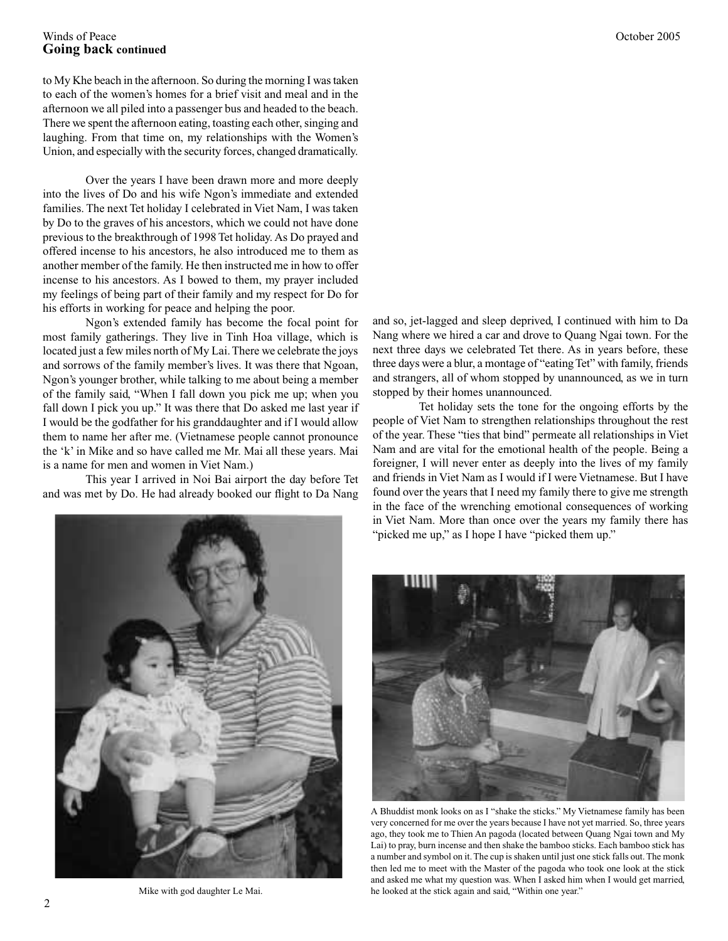to My Khe beach in the afternoon. So during the morning I was taken to each of the women's homes for a brief visit and meal and in the afternoon we all piled into a passenger bus and headed to the beach. There we spent the afternoon eating, toasting each other, singing and laughing. From that time on, my relationships with the Women's Union, and especially with the security forces, changed dramatically.

Over the years I have been drawn more and more deeply into the lives of Do and his wife Ngon's immediate and extended families. The next Tet holiday I celebrated in Viet Nam, I was taken by Do to the graves of his ancestors, which we could not have done previous to the breakthrough of 1998 Tet holiday. As Do prayed and offered incense to his ancestors, he also introduced me to them as another member of the family. He then instructed me in how to offer incense to his ancestors. As I bowed to them, my prayer included my feelings of being part of their family and my respect for Do for his efforts in working for peace and helping the poor.

Ngon's extended family has become the focal point for most family gatherings. They live in Tinh Hoa village, which is located just a few miles north of My Lai. There we celebrate the joys and sorrows of the family member's lives. It was there that Ngoan, Ngon's younger brother, while talking to me about being a member of the family said, "When I fall down you pick me up; when you fall down I pick you up." It was there that Do asked me last year if I would be the godfather for his granddaughter and if I would allow them to name her after me. (Vietnamese people cannot pronounce the 'k' in Mike and so have called me Mr. Mai all these years. Mai is a name for men and women in Viet Nam.)

This year I arrived in Noi Bai airport the day before Tet and was met by Do. He had already booked our flight to Da Nang



Mike with god daughter Le Mai.

and so, jet-lagged and sleep deprived, I continued with him to Da Nang where we hired a car and drove to Quang Ngai town. For the next three days we celebrated Tet there. As in years before, these three days were a blur, a montage of "eating Tet" with family, friends and strangers, all of whom stopped by unannounced, as we in turn stopped by their homes unannounced.

 Tet holiday sets the tone for the ongoing efforts by the people of Viet Nam to strengthen relationships throughout the rest of the year. These "ties that bind" permeate all relationships in Viet Nam and are vital for the emotional health of the people. Being a foreigner, I will never enter as deeply into the lives of my family and friends in Viet Nam as I would if I were Vietnamese. But I have found over the years that I need my family there to give me strength in the face of the wrenching emotional consequences of working in Viet Nam. More than once over the years my family there has "picked me up," as I hope I have "picked them up."



A Bhuddist monk looks on as I "shake the sticks." My Vietnamese family has been very concerned for me over the years because I have not yet married. So, three years ago, they took me to Thien An pagoda (located between Quang Ngai town and My Lai) to pray, burn incense and then shake the bamboo sticks. Each bamboo stick has a number and symbol on it. The cup is shaken until just one stick falls out. The monk then led me to meet with the Master of the pagoda who took one look at the stick and asked me what my question was. When I asked him when I would get married, he looked at the stick again and said, "Within one year."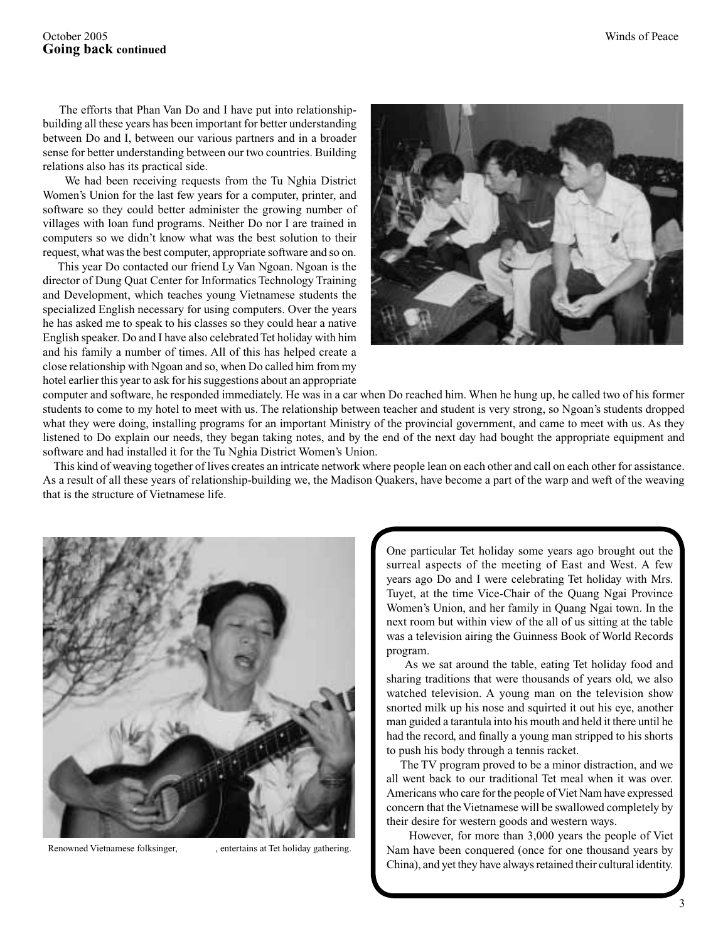The efforts that Phan Van Do and I have put into relationshipbuilding all these years has been important for better understanding between Do and I, between our various partners and in a broader sense for better understanding between our two countries. Building relations also has its practical side.

 We had been receiving requests from the Tu Nghia District Women's Union for the last few years for a computer, printer, and software so they could better administer the growing number of villages with loan fund programs. Neither Do nor I are trained in computers so we didn't know what was the best solution to their request, what was the best computer, appropriate software and so on.

 This year Do contacted our friend Ly Van Ngoan. Ngoan is the director of Dung Quat Center for Informatics Technology Training and Development, which teaches young Vietnamese students the specialized English necessary for using computers. Over the years he has asked me to speak to his classes so they could hear a native English speaker. Do and I have also celebrated Tet holiday with him and his family a number of times. All of this has helped create a close relationship with Ngoan and so, when Do called him from my hotel earlier this year to ask for his suggestions about an appropriate



computer and software, he responded immediately. He was in a car when Do reached him. When he hung up, he called two of his former students to come to my hotel to meet with us. The relationship between teacher and student is very strong, so Ngoan's students dropped what they were doing, installing programs for an important Ministry of the provincial government, and came to meet with us. As they listened to Do explain our needs, they began taking notes, and by the end of the next day had bought the appropriate equipment and software and had installed it for the Tu Nghia District Women's Union.

 This kind of weaving together of lives creates an intricate network where people lean on each other and call on each other for assistance. As a result of all these years of relationship-building we, the Madison Quakers, have become a part of the warp and weft of the weaving that is the structure of Vietnamese life.



Renowned Vietnamese folksinger, entertains at Tet holiday gathering.

One particular Tet holiday some years ago brought out the surreal aspects of the meeting of East and West. A few years ago Do and I were celebrating Tet holiday with Mrs. Tuyet, at the time Vice-Chair of the Quang Ngai Province Women's Union, and her family in Quang Ngai town. In the next room but within view of the all of us sitting at the table was a television airing the Guinness Book of World Records program.

 As we sat around the table, eating Tet holiday food and sharing traditions that were thousands of years old, we also watched television. A young man on the television show snorted milk up his nose and squirted it out his eye, another man guided a tarantula into his mouth and held it there until he had the record, and finally a young man stripped to his shorts to push his body through a tennis racket.

 The TV program proved to be a minor distraction, and we all went back to our traditional Tet meal when it was over. Americans who care for the people of Viet Nam have expressed concern that the Vietnamese will be swallowed completely by their desire for western goods and western ways.

 However, for more than 3,000 years the people of Viet Nam have been conquered (once for one thousand years by China), and yet they have always retained their cultural identity.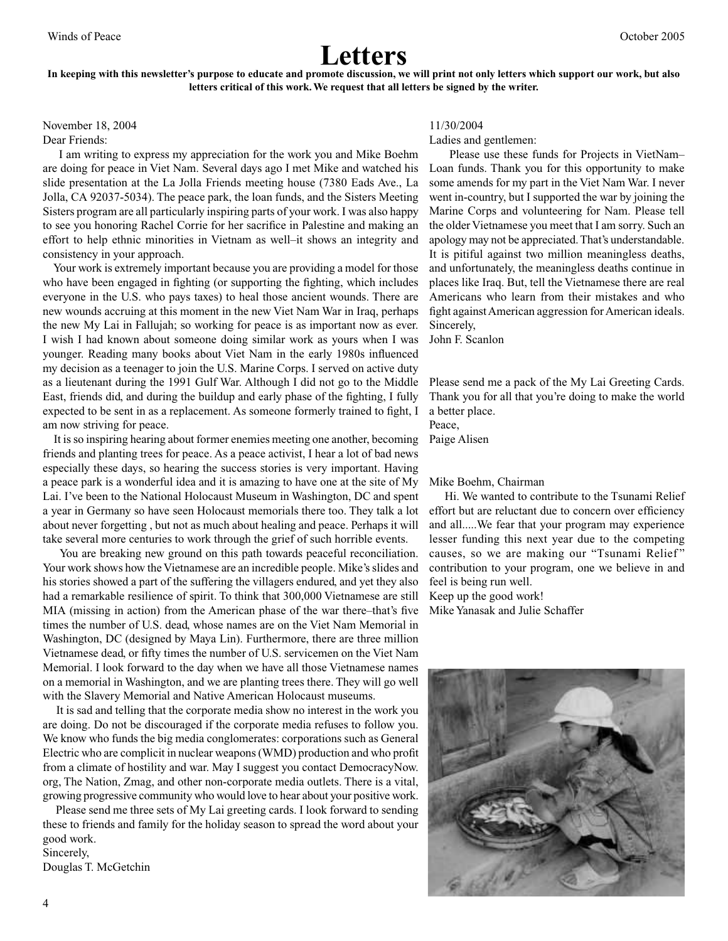## **Letters**

### **In keeping with this newsletter's purpose to educate and promote discussion, we will print not only letters which support our work, but also letters critical of this work. We request that all letters be signed by the writer.**

November 18, 2004

#### Dear Friends:

 I am writing to express my appreciation for the work you and Mike Boehm are doing for peace in Viet Nam. Several days ago I met Mike and watched his slide presentation at the La Jolla Friends meeting house (7380 Eads Ave., La Jolla, CA 92037-5034). The peace park, the loan funds, and the Sisters Meeting Sisters program are all particularly inspiring parts of your work. I was also happy to see you honoring Rachel Corrie for her sacrifice in Palestine and making an effort to help ethnic minorities in Vietnam as well–it shows an integrity and consistency in your approach.

 Your work is extremely important because you are providing a model for those who have been engaged in fighting (or supporting the fighting, which includes everyone in the U.S. who pays taxes) to heal those ancient wounds. There are new wounds accruing at this moment in the new Viet Nam War in Iraq, perhaps the new My Lai in Fallujah; so working for peace is as important now as ever. I wish I had known about someone doing similar work as yours when I was younger. Reading many books about Viet Nam in the early 1980s influenced my decision as a teenager to join the U.S. Marine Corps. I served on active duty as a lieutenant during the 1991 Gulf War. Although I did not go to the Middle East, friends did, and during the buildup and early phase of the fighting, I fully expected to be sent in as a replacement. As someone formerly trained to fight, I am now striving for peace.

 It is so inspiring hearing about former enemies meeting one another, becoming friends and planting trees for peace. As a peace activist, I hear a lot of bad news especially these days, so hearing the success stories is very important. Having a peace park is a wonderful idea and it is amazing to have one at the site of My Lai. I've been to the National Holocaust Museum in Washington, DC and spent a year in Germany so have seen Holocaust memorials there too. They talk a lot about never forgetting , but not as much about healing and peace. Perhaps it will take several more centuries to work through the grief of such horrible events.

 You are breaking new ground on this path towards peaceful reconciliation. Your work shows how the Vietnamese are an incredible people. Mike's slides and his stories showed a part of the suffering the villagers endured, and yet they also had a remarkable resilience of spirit. To think that 300,000 Vietnamese are still MIA (missing in action) from the American phase of the war there–that's five times the number of U.S. dead, whose names are on the Viet Nam Memorial in Washington, DC (designed by Maya Lin). Furthermore, there are three million Vietnamese dead, or fifty times the number of U.S. servicemen on the Viet Nam Memorial. I look forward to the day when we have all those Vietnamese names on a memorial in Washington, and we are planting trees there. They will go well with the Slavery Memorial and Native American Holocaust museums.

 It is sad and telling that the corporate media show no interest in the work you are doing. Do not be discouraged if the corporate media refuses to follow you. We know who funds the big media conglomerates: corporations such as General Electric who are complicit in nuclear weapons (WMD) production and who profit from a climate of hostility and war. May I suggest you contact DemocracyNow. org, The Nation, Zmag, and other non-corporate media outlets. There is a vital, growing progressive community who would love to hear about your positive work.

 Please send me three sets of My Lai greeting cards. I look forward to sending these to friends and family for the holiday season to spread the word about your good work.

Sincerely, Douglas T. McGetchin

#### 11/30/2004

Ladies and gentlemen:

 Please use these funds for Projects in VietNam– Loan funds. Thank you for this opportunity to make some amends for my part in the Viet Nam War. I never went in-country, but I supported the war by joining the Marine Corps and volunteering for Nam. Please tell the older Vietnamese you meet that I am sorry. Such an apology may not be appreciated. That's understandable. It is pitiful against two million meaningless deaths, and unfortunately, the meaningless deaths continue in places like Iraq. But, tell the Vietnamese there are real Americans who learn from their mistakes and who fight against American aggression for American ideals. Sincerely,

John F. Scanlon

Please send me a pack of the My Lai Greeting Cards. Thank you for all that you're doing to make the world a better place. Peace,

Paige Alisen

#### Mike Boehm, Chairman

 Hi. We wanted to contribute to the Tsunami Relief effort but are reluctant due to concern over efficiency and all.....We fear that your program may experience lesser funding this next year due to the competing causes, so we are making our "Tsunami Relief" contribution to your program, one we believe in and feel is being run well.

Keep up the good work!

Mike Yanasak and Julie Schaffer

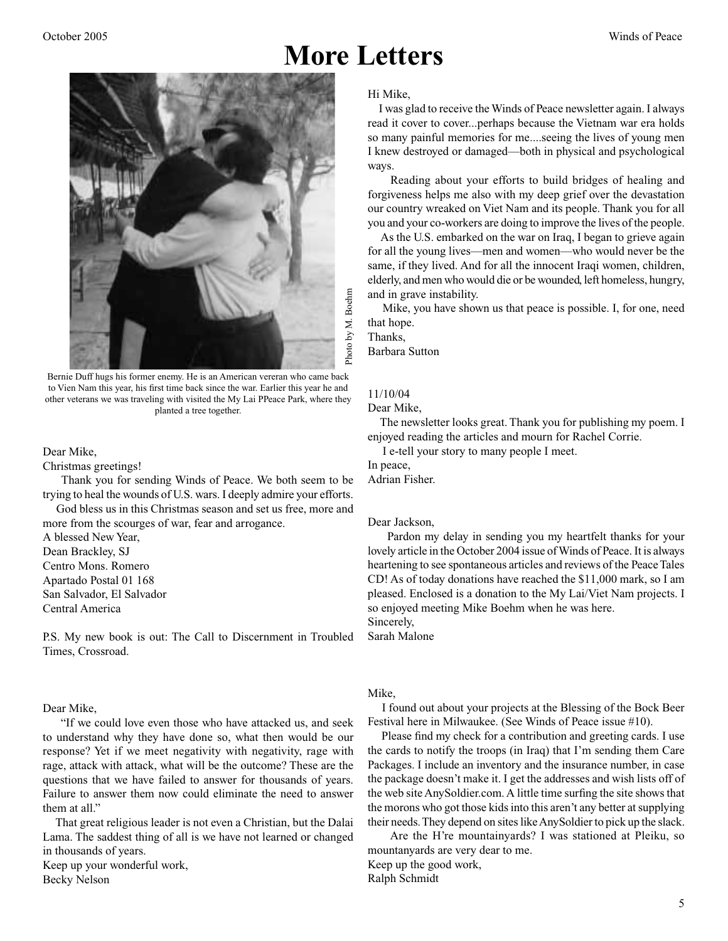## **More Letters**



Bernie Duff hugs his former enemy. He is an American vereran who came back to Vien Nam this year, his first time back since the war. Earlier this year he and other veterans we was traveling with visited the My Lai PPeace Park, where they planted a tree together.

### Dear Mike,

Christmas greetings!

 Thank you for sending Winds of Peace. We both seem to be trying to heal the wounds of U.S. wars. I deeply admire your efforts.

 God bless us in this Christmas season and set us free, more and more from the scourges of war, fear and arrogance.

A blessed New Year, Dean Brackley, SJ Centro Mons. Romero Apartado Postal 01 168 San Salvador, El Salvador Central America

P.S. My new book is out: The Call to Discernment in Troubled Times, Crossroad.

#### Dear Mike,

 "If we could love even those who have attacked us, and seek to understand why they have done so, what then would be our response? Yet if we meet negativity with negativity, rage with rage, attack with attack, what will be the outcome? These are the questions that we have failed to answer for thousands of years. Failure to answer them now could eliminate the need to answer them at all."

 That great religious leader is not even a Christian, but the Dalai Lama. The saddest thing of all is we have not learned or changed in thousands of years.

Keep up your wonderful work, Becky Nelson

#### Hi Mike,

 I was glad to receive the Winds of Peace newsletter again. I always read it cover to cover...perhaps because the Vietnam war era holds so many painful memories for me....seeing the lives of young men I knew destroyed or damaged—both in physical and psychological ways.

 Reading about your efforts to build bridges of healing and forgiveness helps me also with my deep grief over the devastation our country wreaked on Viet Nam and its people. Thank you for all you and your co-workers are doing to improve the lives of the people.

 As the U.S. embarked on the war on Iraq, I began to grieve again for all the young lives—men and women—who would never be the same, if they lived. And for all the innocent Iraqi women, children, elderly, and men who would die or be wounded, left homeless, hungry, and in grave instability.

 Mike, you have shown us that peace is possible. I, for one, need that hope.

Thanks,

Photo by M. Boehm

Photo by

Barbara Sutton

## 11/10/04

Dear Mike,

 The newsletter looks great. Thank you for publishing my poem. I enjoyed reading the articles and mourn for Rachel Corrie.

I e-tell your story to many people I meet.

In peace,

Adrian Fisher.

### Dear Jackson,

 Pardon my delay in sending you my heartfelt thanks for your lovely article in the October 2004 issue of Winds of Peace. It is always heartening to see spontaneous articles and reviews of the Peace Tales CD! As of today donations have reached the \$11,000 mark, so I am pleased. Enclosed is a donation to the My Lai/Viet Nam projects. I so enjoyed meeting Mike Boehm when he was here. Sincerely,

Sarah Malone

### Mike,

 I found out about your projects at the Blessing of the Bock Beer Festival here in Milwaukee. (See Winds of Peace issue #10).

 Please find my check for a contribution and greeting cards. I use the cards to notify the troops (in Iraq) that I'm sending them Care Packages. I include an inventory and the insurance number, in case the package doesn't make it. I get the addresses and wish lists off of the web site AnySoldier.com. A little time surfing the site shows that the morons who got those kids into this aren't any better at supplying their needs. They depend on sites like AnySoldier to pick up the slack.

 Are the H're mountainyards? I was stationed at Pleiku, so mountanyards are very dear to me. Keep up the good work, Ralph Schmidt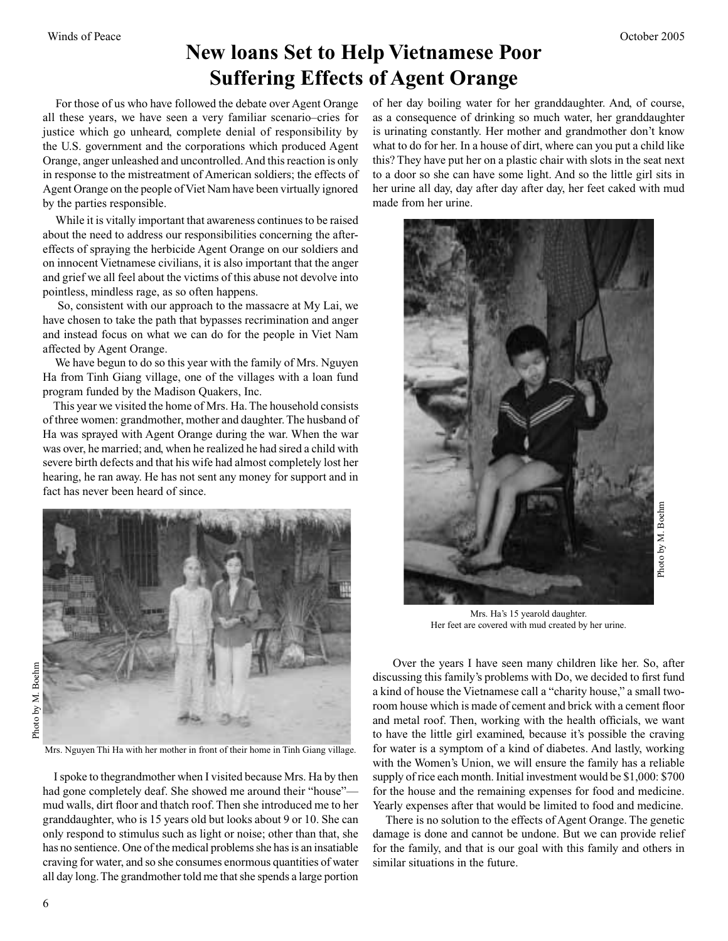## **New loans Set to Help Vietnamese Poor Suffering Effects of Agent Orange**

 For those of us who have followed the debate over Agent Orange all these years, we have seen a very familiar scenario–cries for justice which go unheard, complete denial of responsibility by the U.S. government and the corporations which produced Agent Orange, anger unleashed and uncontrolled. And this reaction is only in response to the mistreatment of American soldiers; the effects of Agent Orange on the people of Viet Nam have been virtually ignored by the parties responsible.

 While it is vitally important that awareness continues to be raised about the need to address our responsibilities concerning the aftereffects of spraying the herbicide Agent Orange on our soldiers and on innocent Vietnamese civilians, it is also important that the anger and grief we all feel about the victims of this abuse not devolve into pointless, mindless rage, as so often happens.

 So, consistent with our approach to the massacre at My Lai, we have chosen to take the path that bypasses recrimination and anger and instead focus on what we can do for the people in Viet Nam affected by Agent Orange.

 We have begun to do so this year with the family of Mrs. Nguyen Ha from Tinh Giang village, one of the villages with a loan fund program funded by the Madison Quakers, Inc.

 This year we visited the home of Mrs. Ha. The household consists of three women: grandmother, mother and daughter. The husband of Ha was sprayed with Agent Orange during the war. When the war was over, he married; and, when he realized he had sired a child with severe birth defects and that his wife had almost completely lost her hearing, he ran away. He has not sent any money for support and in fact has never been heard of since.



Mrs. Nguyen Thi Ha with her mother in front of their home in Tinh Giang village.

 I spoke to thegrandmother when I visited because Mrs. Ha by then had gone completely deaf. She showed me around their "house" mud walls, dirt floor and thatch roof. Then she introduced me to her granddaughter, who is 15 years old but looks about 9 or 10. She can only respond to stimulus such as light or noise; other than that, she has no sentience. One of the medical problems she has is an insatiable craving for water, and so she consumes enormous quantities of water all day long. The grandmother told me that she spends a large portion of her day boiling water for her granddaughter. And, of course, as a consequence of drinking so much water, her granddaughter is urinating constantly. Her mother and grandmother don't know what to do for her. In a house of dirt, where can you put a child like this? They have put her on a plastic chair with slots in the seat next to a door so she can have some light. And so the little girl sits in her urine all day, day after day after day, her feet caked with mud made from her urine.



Mrs. Ha's 15 yearold daughter. Her feet are covered with mud created by her urine.

 Over the years I have seen many children like her. So, after discussing this family's problems with Do, we decided to first fund a kind of house the Vietnamese call a "charity house," a small tworoom house which is made of cement and brick with a cement floor and metal roof. Then, working with the health officials, we want to have the little girl examined, because it's possible the craving for water is a symptom of a kind of diabetes. And lastly, working with the Women's Union, we will ensure the family has a reliable supply of rice each month. Initial investment would be \$1,000: \$700 for the house and the remaining expenses for food and medicine. Yearly expenses after that would be limited to food and medicine.

 There is no solution to the effects of Agent Orange. The genetic damage is done and cannot be undone. But we can provide relief for the family, and that is our goal with this family and others in similar situations in the future.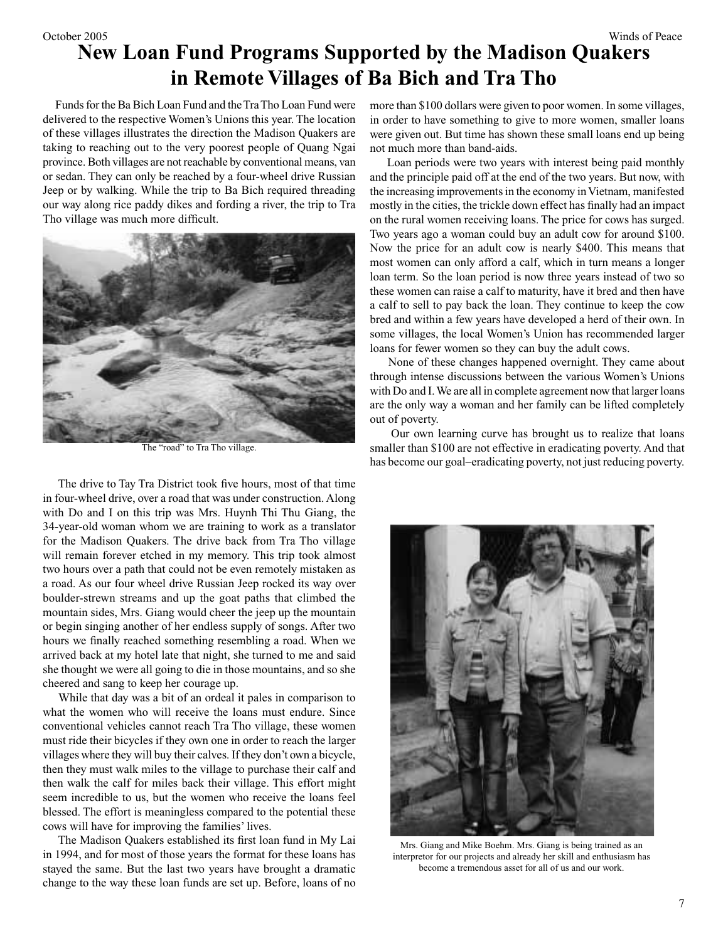## October 2005 Winds of Peace **New Loan Fund Programs Supported by the Madison Quakers in Remote Villages of Ba Bich and Tra Tho**

 Funds for the Ba Bich Loan Fund and the Tra Tho Loan Fund were delivered to the respective Women's Unions this year. The location of these villages illustrates the direction the Madison Quakers are taking to reaching out to the very poorest people of Quang Ngai province. Both villages are not reachable by conventional means, van or sedan. They can only be reached by a four-wheel drive Russian Jeep or by walking. While the trip to Ba Bich required threading our way along rice paddy dikes and fording a river, the trip to Tra Tho village was much more difficult.



The "road" to Tra Tho village.

 The drive to Tay Tra District took five hours, most of that time in four-wheel drive, over a road that was under construction. Along with Do and I on this trip was Mrs. Huynh Thi Thu Giang, the 34-year-old woman whom we are training to work as a translator for the Madison Quakers. The drive back from Tra Tho village will remain forever etched in my memory. This trip took almost two hours over a path that could not be even remotely mistaken as a road. As our four wheel drive Russian Jeep rocked its way over boulder-strewn streams and up the goat paths that climbed the mountain sides, Mrs. Giang would cheer the jeep up the mountain or begin singing another of her endless supply of songs. After two hours we finally reached something resembling a road. When we arrived back at my hotel late that night, she turned to me and said she thought we were all going to die in those mountains, and so she cheered and sang to keep her courage up.

 While that day was a bit of an ordeal it pales in comparison to what the women who will receive the loans must endure. Since conventional vehicles cannot reach Tra Tho village, these women must ride their bicycles if they own one in order to reach the larger villages where they will buy their calves. If they don't own a bicycle, then they must walk miles to the village to purchase their calf and then walk the calf for miles back their village. This effort might seem incredible to us, but the women who receive the loans feel blessed. The effort is meaningless compared to the potential these cows will have for improving the families' lives.

 The Madison Quakers established its first loan fund in My Lai in 1994, and for most of those years the format for these loans has stayed the same. But the last two years have brought a dramatic change to the way these loan funds are set up. Before, loans of no more than \$100 dollars were given to poor women. In some villages, in order to have something to give to more women, smaller loans were given out. But time has shown these small loans end up being not much more than band-aids.

 Loan periods were two years with interest being paid monthly and the principle paid off at the end of the two years. But now, with the increasing improvements in the economy in Vietnam, manifested mostly in the cities, the trickle down effect has finally had an impact on the rural women receiving loans. The price for cows has surged. Two years ago a woman could buy an adult cow for around \$100. Now the price for an adult cow is nearly \$400. This means that most women can only afford a calf, which in turn means a longer loan term. So the loan period is now three years instead of two so these women can raise a calf to maturity, have it bred and then have a calf to sell to pay back the loan. They continue to keep the cow bred and within a few years have developed a herd of their own. In some villages, the local Women's Union has recommended larger loans for fewer women so they can buy the adult cows.

 None of these changes happened overnight. They came about through intense discussions between the various Women's Unions with Do and I. We are all in complete agreement now that larger loans are the only way a woman and her family can be lifted completely out of poverty.

 Our own learning curve has brought us to realize that loans smaller than \$100 are not effective in eradicating poverty. And that has become our goal–eradicating poverty, not just reducing poverty.



Mrs. Giang and Mike Boehm. Mrs. Giang is being trained as an interpretor for our projects and already her skill and enthusiasm has become a tremendous asset for all of us and our work.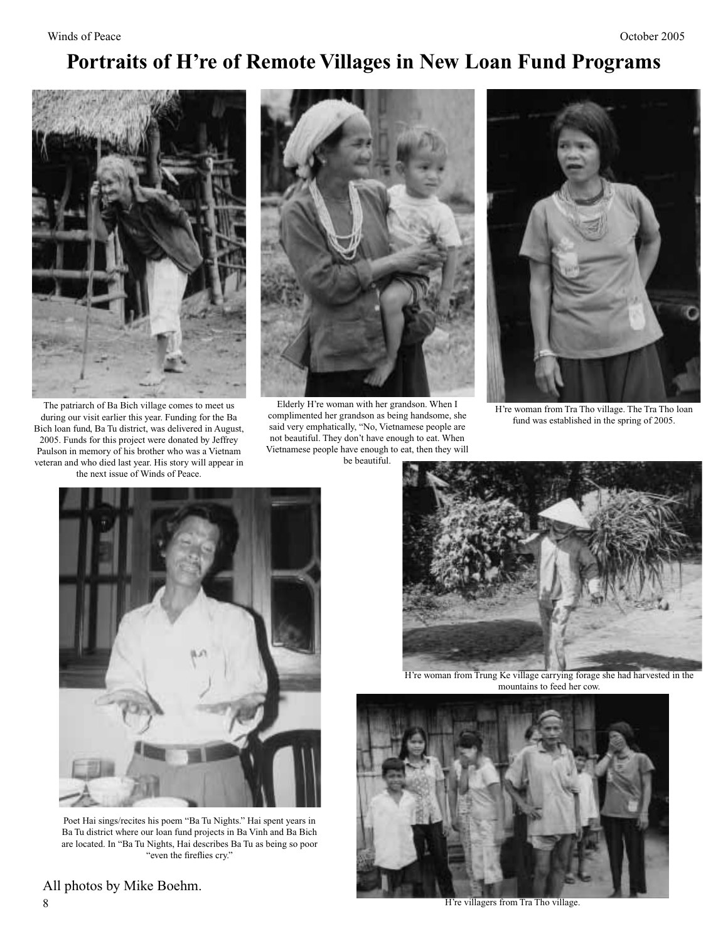## **Portraits of H're of Remote Villages in New Loan Fund Programs**



The patriarch of Ba Bich village comes to meet us during our visit earlier this year. Funding for the Ba Bich loan fund, Ba Tu district, was delivered in August, 2005. Funds for this project were donated by Jeffrey Paulson in memory of his brother who was a Vietnam veteran and who died last year. His story will appear in the next issue of Winds of Peace.



Elderly H're woman with her grandson. When I complimented her grandson as being handsome, she said very emphatically, "No, Vietnamese people are not beautiful. They don't have enough to eat. When Vietnamese people have enough to eat, then they will



H're woman from Tra Tho village. The Tra Tho loan fund was established in the spring of 2005.





Poet Hai sings/recites his poem "Ba Tu Nights." Hai spent years in Ba Tu district where our loan fund projects in Ba Vinh and Ba Bich are located. In "Ba Tu Nights, Hai describes Ba Tu as being so poor "even the fireflies cry."

All photos by Mike Boehm.



H're woman from Trung Ke village carrying forage she had harvested in the mountains to feed her cow.



H're villagers from Tra Tho village.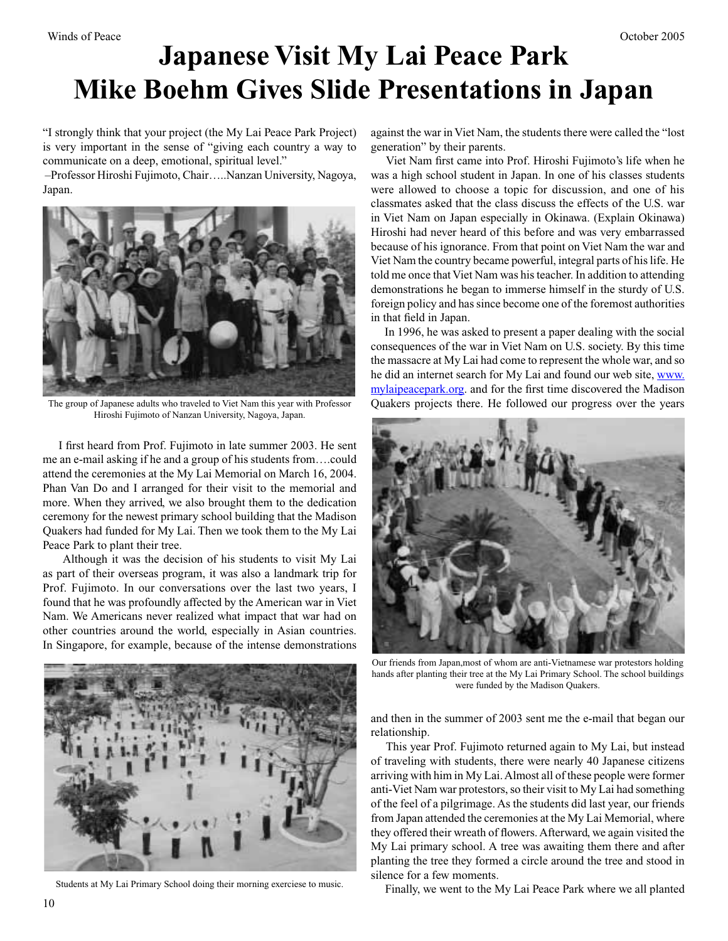Winds of Peace **October 2005** 

## **Japanese Visit My Lai Peace Park Mike Boehm Gives Slide Presentations in Japan**

"I strongly think that your project (the My Lai Peace Park Project) is very important in the sense of "giving each country a way to communicate on a deep, emotional, spiritual level."

 –Professor Hiroshi Fujimoto, Chair…..Nanzan University, Nagoya, Japan.



The group of Japanese adults who traveled to Viet Nam this year with Professor Hiroshi Fujimoto of Nanzan University, Nagoya, Japan.

 I first heard from Prof. Fujimoto in late summer 2003. He sent me an e-mail asking if he and a group of his students from….could attend the ceremonies at the My Lai Memorial on March 16, 2004. Phan Van Do and I arranged for their visit to the memorial and more. When they arrived, we also brought them to the dedication ceremony for the newest primary school building that the Madison Quakers had funded for My Lai. Then we took them to the My Lai Peace Park to plant their tree.

 Although it was the decision of his students to visit My Lai as part of their overseas program, it was also a landmark trip for Prof. Fujimoto. In our conversations over the last two years, I found that he was profoundly affected by the American war in Viet Nam. We Americans never realized what impact that war had on other countries around the world, especially in Asian countries. In Singapore, for example, because of the intense demonstrations



Students at My Lai Primary School doing their morning exerciese to music.

against the war in Viet Nam, the students there were called the "lost generation" by their parents.

 Viet Nam first came into Prof. Hiroshi Fujimoto's life when he was a high school student in Japan. In one of his classes students were allowed to choose a topic for discussion, and one of his classmates asked that the class discuss the effects of the U.S. war in Viet Nam on Japan especially in Okinawa. (Explain Okinawa) Hiroshi had never heard of this before and was very embarrassed because of his ignorance. From that point on Viet Nam the war and Viet Nam the country became powerful, integral parts of his life. He told me once that Viet Nam was his teacher. In addition to attending demonstrations he began to immerse himself in the sturdy of U.S. foreign policy and has since become one of the foremost authorities in that field in Japan.

 In 1996, he was asked to present a paper dealing with the social consequences of the war in Viet Nam on U.S. society. By this time the massacre at My Lai had come to represent the whole war, and so he did an internet search for My Lai and found our web site, www. mylaipeacepark.org. and for the first time discovered the Madison Quakers projects there. He followed our progress over the years



Our friends from Japan,most of whom are anti-Vietnamese war protestors holding hands after planting their tree at the My Lai Primary School. The school buildings were funded by the Madison Quakers.

and then in the summer of 2003 sent me the e-mail that began our relationship.

 This year Prof. Fujimoto returned again to My Lai, but instead of traveling with students, there were nearly 40 Japanese citizens arriving with him in My Lai. Almost all of these people were former anti-Viet Nam war protestors, so their visit to My Lai had something of the feel of a pilgrimage. As the students did last year, our friends from Japan attended the ceremonies at the My Lai Memorial, where they offered their wreath of flowers. Afterward, we again visited the My Lai primary school. A tree was awaiting them there and after planting the tree they formed a circle around the tree and stood in silence for a few moments.

Finally, we went to the My Lai Peace Park where we all planted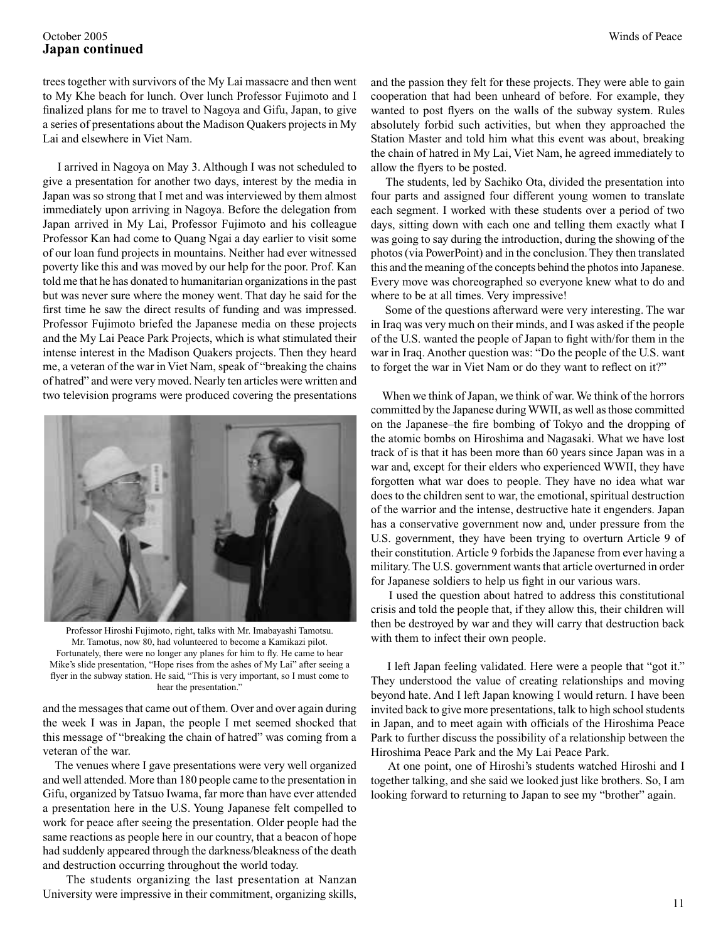### October 2005 Winds of Peace **Japan continued**

trees together with survivors of the My Lai massacre and then went to My Khe beach for lunch. Over lunch Professor Fujimoto and I finalized plans for me to travel to Nagoya and Gifu, Japan, to give a series of presentations about the Madison Quakers projects in My Lai and elsewhere in Viet Nam.

 I arrived in Nagoya on May 3. Although I was not scheduled to give a presentation for another two days, interest by the media in Japan was so strong that I met and was interviewed by them almost immediately upon arriving in Nagoya. Before the delegation from Japan arrived in My Lai, Professor Fujimoto and his colleague Professor Kan had come to Quang Ngai a day earlier to visit some of our loan fund projects in mountains. Neither had ever witnessed poverty like this and was moved by our help for the poor. Prof. Kan told me that he has donated to humanitarian organizations in the past but was never sure where the money went. That day he said for the first time he saw the direct results of funding and was impressed. Professor Fujimoto briefed the Japanese media on these projects and the My Lai Peace Park Projects, which is what stimulated their intense interest in the Madison Quakers projects. Then they heard me, a veteran of the war in Viet Nam, speak of "breaking the chains of hatred" and were very moved. Nearly ten articles were written and two television programs were produced covering the presentations



Professor Hiroshi Fujimoto, right, talks with Mr. Imabayashi Tamotsu. Mr. Tamotus, now 80, had volunteered to become a Kamikazi pilot. Fortunately, there were no longer any planes for him to fly. He came to hear Mike's slide presentation, "Hope rises from the ashes of My Lai" after seeing a flyer in the subway station. He said, "This is very important, so I must come to hear the presentation."

and the messages that came out of them. Over and over again during the week I was in Japan, the people I met seemed shocked that this message of "breaking the chain of hatred" was coming from a veteran of the war.

 The venues where I gave presentations were very well organized and well attended. More than 180 people came to the presentation in Gifu, organized by Tatsuo Iwama, far more than have ever attended a presentation here in the U.S. Young Japanese felt compelled to work for peace after seeing the presentation. Older people had the same reactions as people here in our country, that a beacon of hope had suddenly appeared through the darkness/bleakness of the death and destruction occurring throughout the world today.

 The students organizing the last presentation at Nanzan University were impressive in their commitment, organizing skills,

and the passion they felt for these projects. They were able to gain cooperation that had been unheard of before. For example, they wanted to post flyers on the walls of the subway system. Rules absolutely forbid such activities, but when they approached the Station Master and told him what this event was about, breaking the chain of hatred in My Lai, Viet Nam, he agreed immediately to allow the flyers to be posted.

 The students, led by Sachiko Ota, divided the presentation into four parts and assigned four different young women to translate each segment. I worked with these students over a period of two days, sitting down with each one and telling them exactly what I was going to say during the introduction, during the showing of the photos (via PowerPoint) and in the conclusion. They then translated this and the meaning of the concepts behind the photos into Japanese. Every move was choreographed so everyone knew what to do and where to be at all times. Very impressive!

 Some of the questions afterward were very interesting. The war in Iraq was very much on their minds, and I was asked if the people of the U.S. wanted the people of Japan to fight with/for them in the war in Iraq. Another question was: "Do the people of the U.S. want to forget the war in Viet Nam or do they want to reflect on it?"

 When we think of Japan, we think of war. We think of the horrors committed by the Japanese during WWII, as well as those committed on the Japanese–the fire bombing of Tokyo and the dropping of the atomic bombs on Hiroshima and Nagasaki. What we have lost track of is that it has been more than 60 years since Japan was in a war and, except for their elders who experienced WWII, they have forgotten what war does to people. They have no idea what war does to the children sent to war, the emotional, spiritual destruction of the warrior and the intense, destructive hate it engenders. Japan has a conservative government now and, under pressure from the U.S. government, they have been trying to overturn Article 9 of their constitution. Article 9 forbids the Japanese from ever having a military. The U.S. government wants that article overturned in order for Japanese soldiers to help us fight in our various wars.

 I used the question about hatred to address this constitutional crisis and told the people that, if they allow this, their children will then be destroyed by war and they will carry that destruction back with them to infect their own people.

 I left Japan feeling validated. Here were a people that "got it." They understood the value of creating relationships and moving beyond hate. And I left Japan knowing I would return. I have been invited back to give more presentations, talk to high school students in Japan, and to meet again with officials of the Hiroshima Peace Park to further discuss the possibility of a relationship between the Hiroshima Peace Park and the My Lai Peace Park.

 At one point, one of Hiroshi's students watched Hiroshi and I together talking, and she said we looked just like brothers. So, I am looking forward to returning to Japan to see my "brother" again.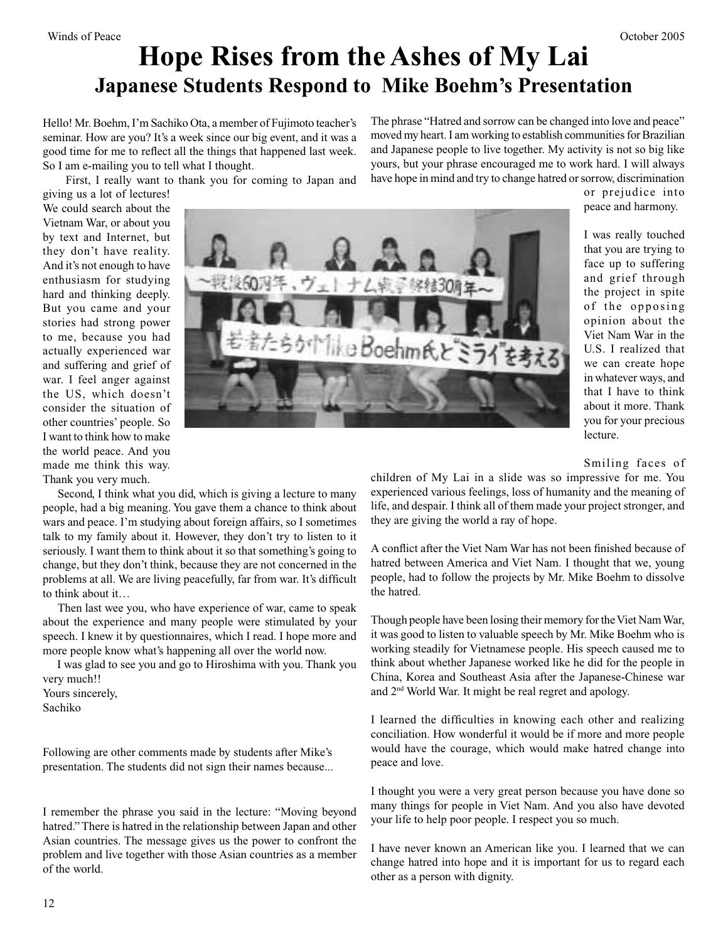## **Japanese Students Respond to Mike Boehm's Presentation Hope Rises from the Ashes of My Lai**

Hello! Mr. Boehm, I'm Sachiko Ota, a member of Fujimoto teacher's seminar. How are you? It's a week since our big event, and it was a good time for me to reflect all the things that happened last week. So I am e-mailing you to tell what I thought.

First, I really want to thank you for coming to Japan and

The phrase "Hatred and sorrow can be changed into love and peace" moved my heart. I am working to establish communities for Brazilian and Japanese people to live together. My activity is not so big like yours, but your phrase encouraged me to work hard. I will always have hope in mind and try to change hatred or sorrow, discrimination

giving us a lot of lectures! We could search about the Vietnam War, or about you by text and Internet, but they don't have reality. And it's not enough to have enthusiasm for studying hard and thinking deeply. But you came and your stories had strong power to me, because you had actually experienced war and suffering and grief of war. I feel anger against the US, which doesn't consider the situation of other countries' people. So I want to think how to make the world peace. And you made me think this way. Thank you very much.



I was really touched that you are trying to face up to suffering and grief through the project in spite of the opposing opinion about the Viet Nam War in the U.S. I realized that we can create hope in whatever ways, and that I have to think about it more. Thank you for your precious

or prejudice into

Smiling faces of

 Second, I think what you did, which is giving a lecture to many people, had a big meaning. You gave them a chance to think about wars and peace. I'm studying about foreign affairs, so I sometimes talk to my family about it. However, they don't try to listen to it seriously. I want them to think about it so that something's going to change, but they don't think, because they are not concerned in the problems at all. We are living peacefully, far from war. It's difficult to think about it…

 Then last wee you, who have experience of war, came to speak about the experience and many people were stimulated by your speech. I knew it by questionnaires, which I read. I hope more and more people know what's happening all over the world now.

 I was glad to see you and go to Hiroshima with you. Thank you very much!!

Yours sincerely, Sachiko

Following are other comments made by students after Mike's presentation. The students did not sign their names because...

I remember the phrase you said in the lecture: "Moving beyond hatred." There is hatred in the relationship between Japan and other Asian countries. The message gives us the power to confront the problem and live together with those Asian countries as a member of the world.

children of My Lai in a slide was so impressive for me. You experienced various feelings, loss of humanity and the meaning of life, and despair. I think all of them made your project stronger, and they are giving the world a ray of hope.

A conflict after the Viet Nam War has not been finished because of hatred between America and Viet Nam. I thought that we, young people, had to follow the projects by Mr. Mike Boehm to dissolve the hatred.

Though people have been losing their memory for the Viet Nam War, it was good to listen to valuable speech by Mr. Mike Boehm who is working steadily for Vietnamese people. His speech caused me to think about whether Japanese worked like he did for the people in China, Korea and Southeast Asia after the Japanese-Chinese war and 2nd World War. It might be real regret and apology.

I learned the difficulties in knowing each other and realizing conciliation. How wonderful it would be if more and more people would have the courage, which would make hatred change into peace and love.

I thought you were a very great person because you have done so many things for people in Viet Nam. And you also have devoted your life to help poor people. I respect you so much.

I have never known an American like you. I learned that we can change hatred into hope and it is important for us to regard each other as a person with dignity.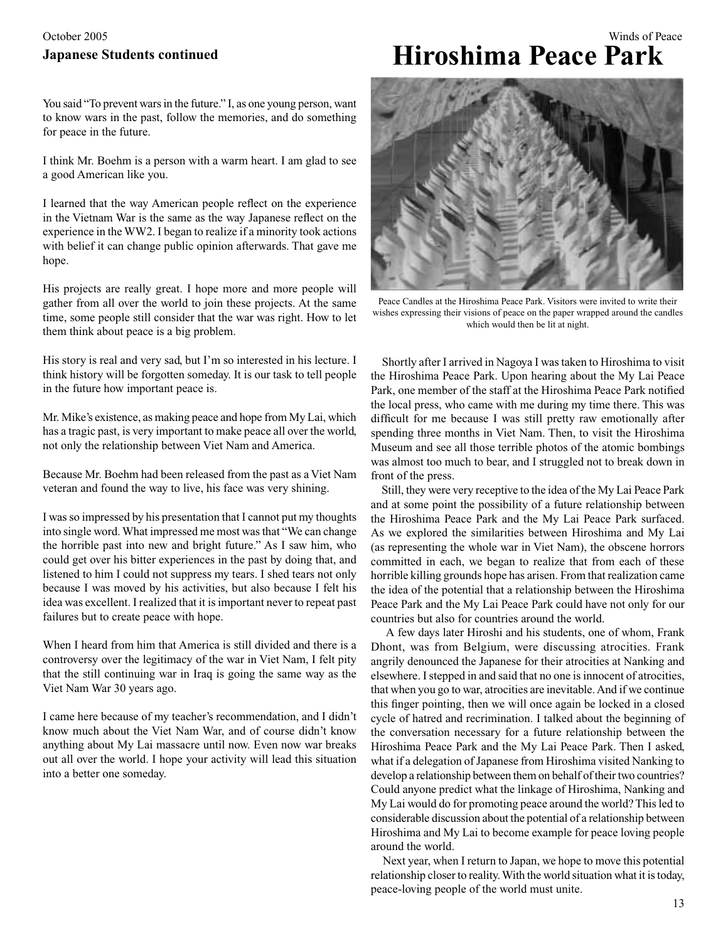## October 2005 Winds of Peace **Japanese Students continued**

## **Hiroshima Peace Park**

You said "To prevent wars in the future." I, as one young person, want to know wars in the past, follow the memories, and do something for peace in the future.

I think Mr. Boehm is a person with a warm heart. I am glad to see a good American like you.

I learned that the way American people reflect on the experience in the Vietnam War is the same as the way Japanese reflect on the experience in the WW2. I began to realize if a minority took actions with belief it can change public opinion afterwards. That gave me hope.

His projects are really great. I hope more and more people will gather from all over the world to join these projects. At the same time, some people still consider that the war was right. How to let them think about peace is a big problem.

His story is real and very sad, but I'm so interested in his lecture. I think history will be forgotten someday. It is our task to tell people in the future how important peace is.

Mr. Mike's existence, as making peace and hope from My Lai, which has a tragic past, is very important to make peace all over the world, not only the relationship between Viet Nam and America.

Because Mr. Boehm had been released from the past as a Viet Nam veteran and found the way to live, his face was very shining.

I was so impressed by his presentation that I cannot put my thoughts into single word. What impressed me most was that "We can change the horrible past into new and bright future." As I saw him, who could get over his bitter experiences in the past by doing that, and listened to him I could not suppress my tears. I shed tears not only because I was moved by his activities, but also because I felt his idea was excellent. I realized that it is important never to repeat past failures but to create peace with hope.

When I heard from him that America is still divided and there is a controversy over the legitimacy of the war in Viet Nam, I felt pity that the still continuing war in Iraq is going the same way as the Viet Nam War 30 years ago.

I came here because of my teacher's recommendation, and I didn't know much about the Viet Nam War, and of course didn't know anything about My Lai massacre until now. Even now war breaks out all over the world. I hope your activity will lead this situation into a better one someday.



Peace Candles at the Hiroshima Peace Park. Visitors were invited to write their wishes expressing their visions of peace on the paper wrapped around the candles which would then be lit at night.

 Shortly after I arrived in Nagoya I was taken to Hiroshima to visit the Hiroshima Peace Park. Upon hearing about the My Lai Peace Park, one member of the staff at the Hiroshima Peace Park notified the local press, who came with me during my time there. This was difficult for me because I was still pretty raw emotionally after spending three months in Viet Nam. Then, to visit the Hiroshima Museum and see all those terrible photos of the atomic bombings was almost too much to bear, and I struggled not to break down in front of the press.

 Still, they were very receptive to the idea of the My Lai Peace Park and at some point the possibility of a future relationship between the Hiroshima Peace Park and the My Lai Peace Park surfaced. As we explored the similarities between Hiroshima and My Lai (as representing the whole war in Viet Nam), the obscene horrors committed in each, we began to realize that from each of these horrible killing grounds hope has arisen. From that realization came the idea of the potential that a relationship between the Hiroshima Peace Park and the My Lai Peace Park could have not only for our countries but also for countries around the world.

 A few days later Hiroshi and his students, one of whom, Frank Dhont, was from Belgium, were discussing atrocities. Frank angrily denounced the Japanese for their atrocities at Nanking and elsewhere. I stepped in and said that no one is innocent of atrocities, that when you go to war, atrocities are inevitable. And if we continue this finger pointing, then we will once again be locked in a closed cycle of hatred and recrimination. I talked about the beginning of the conversation necessary for a future relationship between the Hiroshima Peace Park and the My Lai Peace Park. Then I asked, what if a delegation of Japanese from Hiroshima visited Nanking to develop a relationship between them on behalf of their two countries? Could anyone predict what the linkage of Hiroshima, Nanking and My Lai would do for promoting peace around the world? This led to considerable discussion about the potential of a relationship between Hiroshima and My Lai to become example for peace loving people around the world.

 Next year, when I return to Japan, we hope to move this potential relationship closer to reality. With the world situation what it is today, peace-loving people of the world must unite.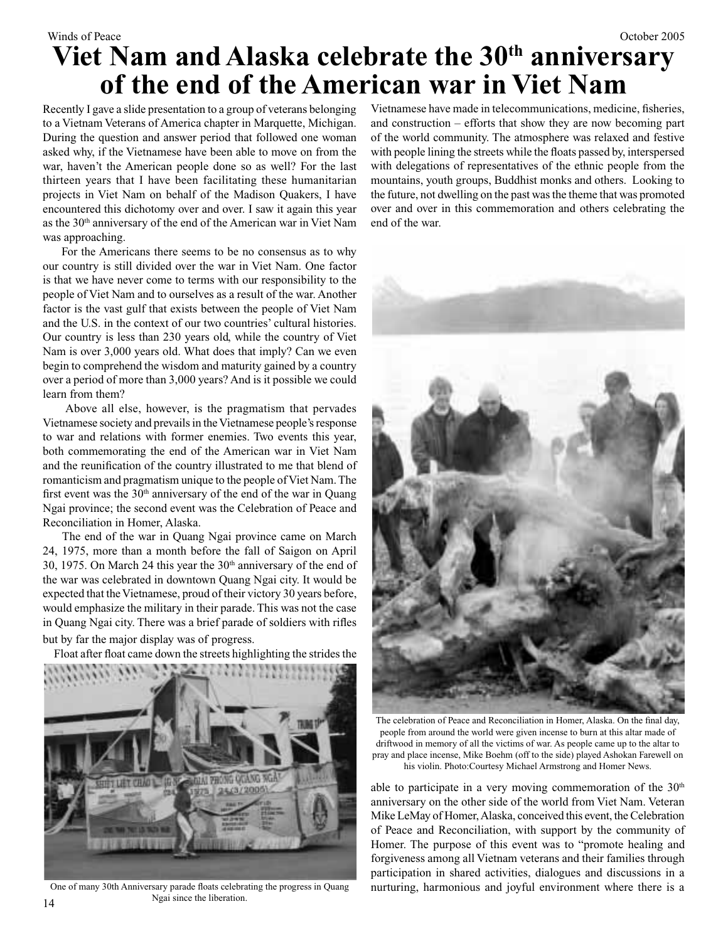## Winds of Peace **October 2005** Viet Nam and Alaska celebrate the 30<sup>th</sup> anniversary **of the end of the American war in Viet Nam**

Recently I gave a slide presentation to a group of veterans belonging to a Vietnam Veterans of America chapter in Marquette, Michigan. During the question and answer period that followed one woman asked why, if the Vietnamese have been able to move on from the war, haven't the American people done so as well? For the last thirteen years that I have been facilitating these humanitarian projects in Viet Nam on behalf of the Madison Quakers, I have encountered this dichotomy over and over. I saw it again this year as the 30<sup>th</sup> anniversary of the end of the American war in Viet Nam was approaching.

 For the Americans there seems to be no consensus as to why our country is still divided over the war in Viet Nam. One factor is that we have never come to terms with our responsibility to the people of Viet Nam and to ourselves as a result of the war. Another factor is the vast gulf that exists between the people of Viet Nam and the U.S. in the context of our two countries' cultural histories. Our country is less than 230 years old, while the country of Viet Nam is over 3,000 years old. What does that imply? Can we even begin to comprehend the wisdom and maturity gained by a country over a period of more than 3,000 years? And is it possible we could learn from them?

 Above all else, however, is the pragmatism that pervades Vietnamese society and prevails in the Vietnamese people's response to war and relations with former enemies. Two events this year, both commemorating the end of the American war in Viet Nam and the reunification of the country illustrated to me that blend of romanticism and pragmatism unique to the people of Viet Nam. The first event was the  $30<sup>th</sup>$  anniversary of the end of the war in Quang Ngai province; the second event was the Celebration of Peace and Reconciliation in Homer, Alaska.

 The end of the war in Quang Ngai province came on March 24, 1975, more than a month before the fall of Saigon on April 30, 1975. On March 24 this year the 30<sup>th</sup> anniversary of the end of the war was celebrated in downtown Quang Ngai city. It would be expected that the Vietnamese, proud of their victory 30 years before, would emphasize the military in their parade. This was not the case in Quang Ngai city. There was a brief parade of soldiers with rifles but by far the major display was of progress.

Float after float came down the streets highlighting the strides the



One of many 30th Anniversary parade floats celebrating the progress in Quang Ngai since the liberation.

Vietnamese have made in telecommunications, medicine, fisheries, and construction – efforts that show they are now becoming part of the world community. The atmosphere was relaxed and festive with people lining the streets while the floats passed by, interspersed with delegations of representatives of the ethnic people from the mountains, youth groups, Buddhist monks and others. Looking to the future, not dwelling on the past was the theme that was promoted over and over in this commemoration and others celebrating the end of the war.



The celebration of Peace and Reconciliation in Homer, Alaska. On the final day, people from around the world were given incense to burn at this altar made of driftwood in memory of all the victims of war. As people came up to the altar to pray and place incense, Mike Boehm (off to the side) played Ashokan Farewell on his violin. Photo:Courtesy Michael Armstrong and Homer News.

able to participate in a very moving commemoration of the  $30<sup>th</sup>$ anniversary on the other side of the world from Viet Nam. Veteran Mike LeMay of Homer, Alaska, conceived this event, the Celebration of Peace and Reconciliation, with support by the community of Homer. The purpose of this event was to "promote healing and forgiveness among all Vietnam veterans and their families through participation in shared activities, dialogues and discussions in a nurturing, harmonious and joyful environment where there is a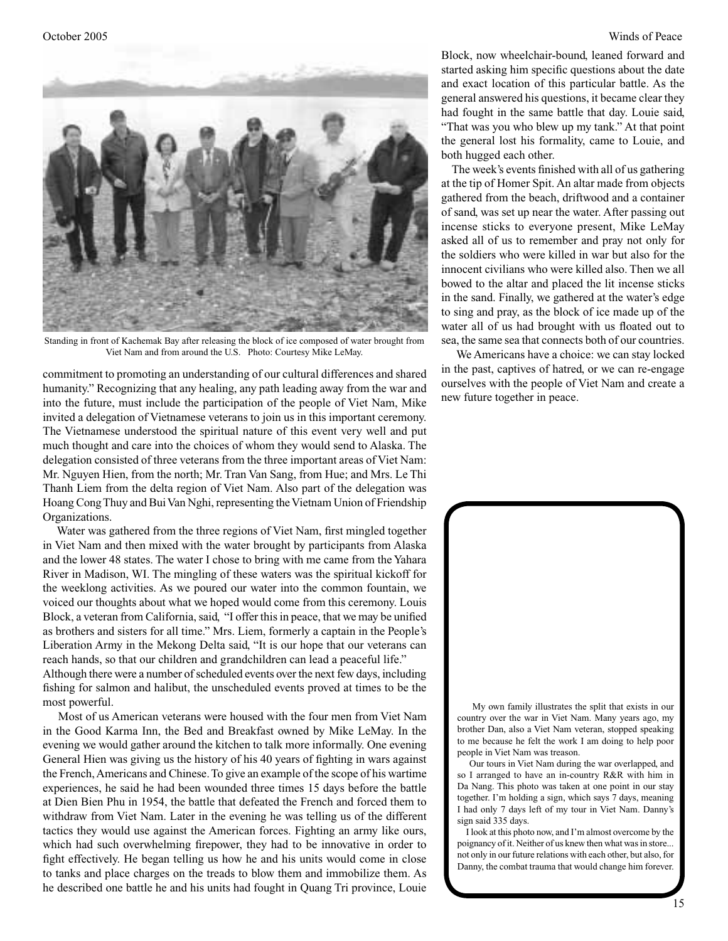



Standing in front of Kachemak Bay after releasing the block of ice composed of water brought from Viet Nam and from around the U.S. Photo: Courtesy Mike LeMay.

commitment to promoting an understanding of our cultural differences and shared humanity." Recognizing that any healing, any path leading away from the war and into the future, must include the participation of the people of Viet Nam, Mike invited a delegation of Vietnamese veterans to join us in this important ceremony. The Vietnamese understood the spiritual nature of this event very well and put much thought and care into the choices of whom they would send to Alaska. The delegation consisted of three veterans from the three important areas of Viet Nam: Mr. Nguyen Hien, from the north; Mr. Tran Van Sang, from Hue; and Mrs. Le Thi Thanh Liem from the delta region of Viet Nam. Also part of the delegation was Hoang Cong Thuy and Bui Van Nghi, representing the Vietnam Union of Friendship Organizations.

 Water was gathered from the three regions of Viet Nam, first mingled together in Viet Nam and then mixed with the water brought by participants from Alaska and the lower 48 states. The water I chose to bring with me came from the Yahara River in Madison, WI. The mingling of these waters was the spiritual kickoff for the weeklong activities. As we poured our water into the common fountain, we voiced our thoughts about what we hoped would come from this ceremony. Louis Block, a veteran from California, said, "I offer this in peace, that we may be unified as brothers and sisters for all time." Mrs. Liem, formerly a captain in the People's Liberation Army in the Mekong Delta said, "It is our hope that our veterans can reach hands, so that our children and grandchildren can lead a peaceful life."

Although there were a number of scheduled events over the next few days, including fishing for salmon and halibut, the unscheduled events proved at times to be the most powerful.

 Most of us American veterans were housed with the four men from Viet Nam in the Good Karma Inn, the Bed and Breakfast owned by Mike LeMay. In the evening we would gather around the kitchen to talk more informally. One evening General Hien was giving us the history of his 40 years of fighting in wars against the French, Americans and Chinese. To give an example of the scope of his wartime experiences, he said he had been wounded three times 15 days before the battle at Dien Bien Phu in 1954, the battle that defeated the French and forced them to withdraw from Viet Nam. Later in the evening he was telling us of the different tactics they would use against the American forces. Fighting an army like ours, which had such overwhelming firepower, they had to be innovative in order to fight effectively. He began telling us how he and his units would come in close to tanks and place charges on the treads to blow them and immobilize them. As he described one battle he and his units had fought in Quang Tri province, Louie

Block, now wheelchair-bound, leaned forward and started asking him specific questions about the date and exact location of this particular battle. As the general answered his questions, it became clear they had fought in the same battle that day. Louie said, "That was you who blew up my tank." At that point the general lost his formality, came to Louie, and both hugged each other.

 The week's events finished with all of us gathering at the tip of Homer Spit. An altar made from objects gathered from the beach, driftwood and a container of sand, was set up near the water. After passing out incense sticks to everyone present, Mike LeMay asked all of us to remember and pray not only for the soldiers who were killed in war but also for the innocent civilians who were killed also. Then we all bowed to the altar and placed the lit incense sticks in the sand. Finally, we gathered at the water's edge to sing and pray, as the block of ice made up of the water all of us had brought with us floated out to sea, the same sea that connects both of our countries.

 We Americans have a choice: we can stay locked in the past, captives of hatred, or we can re-engage ourselves with the people of Viet Nam and create a new future together in peace.



country over the war in Viet Nam. Many years ago, my brother Dan, also a Viet Nam veteran, stopped speaking to me because he felt the work I am doing to help poor people in Viet Nam was treason.

 Our tours in Viet Nam during the war overlapped, and so I arranged to have an in-country R&R with him in Da Nang. This photo was taken at one point in our stay together. I'm holding a sign, which says 7 days, meaning I had only 7 days left of my tour in Viet Nam. Danny's sign said 335 days.

 I look at this photo now, and I'm almost overcome by the poignancy of it. Neither of us knew then what was in store... not only in our future relations with each other, but also, for Danny, the combat trauma that would change him forever.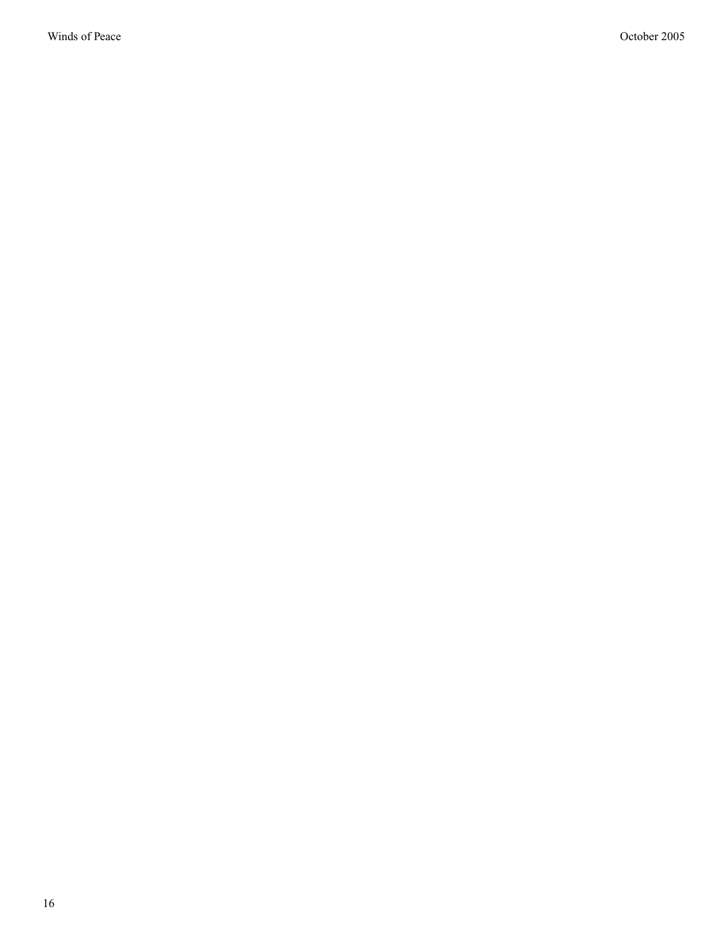Winds of Peace October 2005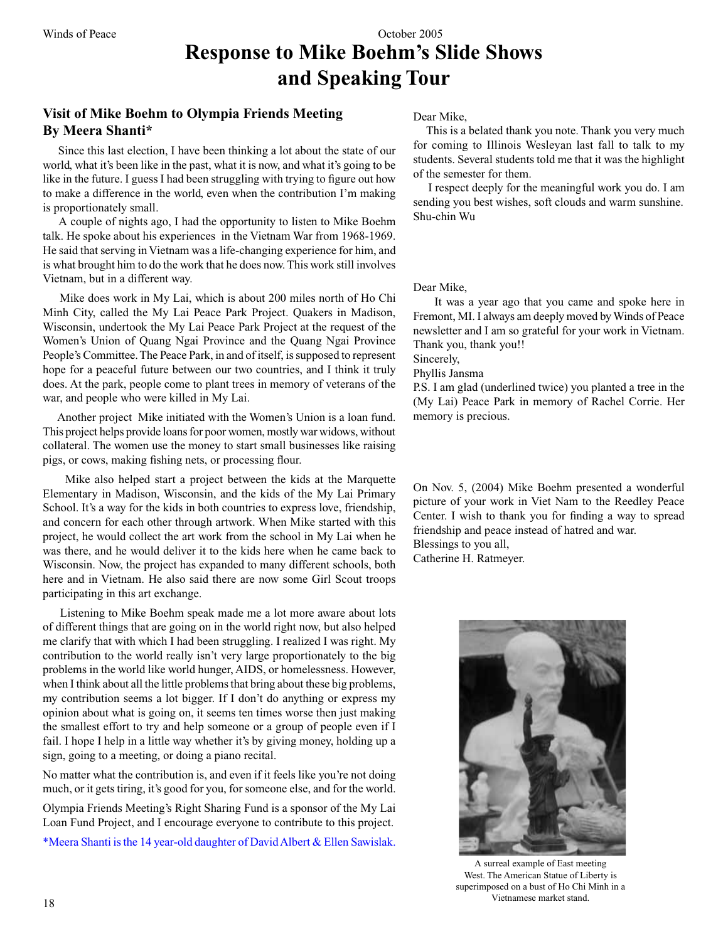## **Response to Mike Boehm's Slide Shows and Speaking Tour**

## **Visit of Mike Boehm to Olympia Friends Meeting By Meera Shanti\***

 Since this last election, I have been thinking a lot about the state of our world, what it's been like in the past, what it is now, and what it's going to be like in the future. I guess I had been struggling with trying to figure out how to make a difference in the world, even when the contribution I'm making is proportionately small.

 A couple of nights ago, I had the opportunity to listen to Mike Boehm talk. He spoke about his experiences in the Vietnam War from 1968-1969. He said that serving in Vietnam was a life-changing experience for him, and is what brought him to do the work that he does now. This work still involves Vietnam, but in a different way.

 Mike does work in My Lai, which is about 200 miles north of Ho Chi Minh City, called the My Lai Peace Park Project. Quakers in Madison, Wisconsin, undertook the My Lai Peace Park Project at the request of the Women's Union of Quang Ngai Province and the Quang Ngai Province People's Committee. The Peace Park, in and of itself, is supposed to represent hope for a peaceful future between our two countries, and I think it truly does. At the park, people come to plant trees in memory of veterans of the war, and people who were killed in My Lai.

 Another project Mike initiated with the Women's Union is a loan fund. This project helps provide loans for poor women, mostly war widows, without collateral. The women use the money to start small businesses like raising pigs, or cows, making fishing nets, or processing flour.

 Mike also helped start a project between the kids at the Marquette Elementary in Madison, Wisconsin, and the kids of the My Lai Primary School. It's a way for the kids in both countries to express love, friendship, and concern for each other through artwork. When Mike started with this project, he would collect the art work from the school in My Lai when he was there, and he would deliver it to the kids here when he came back to Wisconsin. Now, the project has expanded to many different schools, both here and in Vietnam. He also said there are now some Girl Scout troops participating in this art exchange.

 Listening to Mike Boehm speak made me a lot more aware about lots of different things that are going on in the world right now, but also helped me clarify that with which I had been struggling. I realized I was right. My contribution to the world really isn't very large proportionately to the big problems in the world like world hunger, AIDS, or homelessness. However, when I think about all the little problems that bring about these big problems, my contribution seems a lot bigger. If I don't do anything or express my opinion about what is going on, it seems ten times worse then just making the smallest effort to try and help someone or a group of people even if I fail. I hope I help in a little way whether it's by giving money, holding up a sign, going to a meeting, or doing a piano recital.

No matter what the contribution is, and even if it feels like you're not doing much, or it gets tiring, it's good for you, for someone else, and for the world.

Olympia Friends Meeting's Right Sharing Fund is a sponsor of the My Lai Loan Fund Project, and I encourage everyone to contribute to this project.

\*Meera Shanti is the 14 year-old daughter of David Albert & Ellen Sawislak.

Dear Mike,

 This is a belated thank you note. Thank you very much for coming to Illinois Wesleyan last fall to talk to my students. Several students told me that it was the highlight of the semester for them.

 I respect deeply for the meaningful work you do. I am sending you best wishes, soft clouds and warm sunshine. Shu-chin Wu

Dear Mike,

 It was a year ago that you came and spoke here in Fremont, MI. I always am deeply moved by Winds of Peace newsletter and I am so grateful for your work in Vietnam. Thank you, thank you!!

Sincerely,

Phyllis Jansma

P.S. I am glad (underlined twice) you planted a tree in the (My Lai) Peace Park in memory of Rachel Corrie. Her memory is precious.

On Nov. 5, (2004) Mike Boehm presented a wonderful picture of your work in Viet Nam to the Reedley Peace Center. I wish to thank you for finding a way to spread friendship and peace instead of hatred and war. Blessings to you all,

Catherine H. Ratmeyer.



A surreal example of East meeting West. The American Statue of Liberty is superimposed on a bust of Ho Chi Minh in a Vietnamese market stand.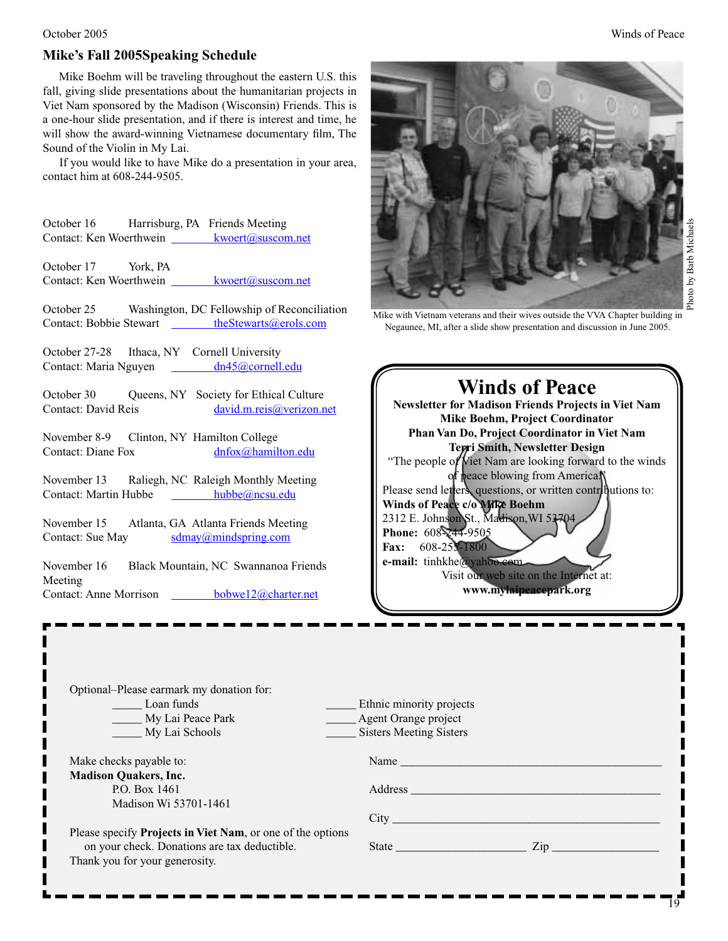### **Mike's Fall 2005Speaking Schedule**

 Mike Boehm will be traveling throughout the eastern U.S. this fall, giving slide presentations about the humanitarian projects in Viet Nam sponsored by the Madison (Wisconsin) Friends. This is a one-hour slide presentation, and if there is interest and time, he will show the award-winning Vietnamese documentary film, The Sound of the Violin in My Lai.

 If you would like to have Mike do a presentation in your area, contact him at 608-244-9505.

October 16 Harrisburg, PA Friends Meeting Contact: Ken Woerthwein kwoert@suscom.net

October 17 York, PA Contact: Ken Woerthwein  $k$ woert $@$ suscom.net

October 25 Washington, DC Fellowship of Reconciliation Contact: Bobbie Stewart theStewarts@erols.com

October 27-28 Ithaca, NY Cornell University Contact: Maria Nguyen dn45@cornell.edu

October 30 Queens, NY Society for Ethical Culture<br>
Contact: David Reis david.m.reis@verizon.r david.m.reis@verizon.net

November 8-9 Clinton, NY Hamilton College Contact: Diane Fox dnfox@hamilton.edu

November 13 Raliegh, NC Raleigh Monthly Meeting Contact: Martin Hubbe hubbe@ncsu.edu

November 15 Atlanta, GA Atlanta Friends Meeting Contact: Sue May sdmay@mindspring.com

November 16 Black Mountain, NC Swannanoa Friends Meeting

Contact: Anne Morrison bobwe12@charter.net

Optional–Please earmark my donation for:



Mike with Vietnam veterans and their wives outside the VVA Chapter building in Negaunee, MI, after a slide show presentation and discussion in June 2005.

| <b>Winds of Peace</b>                                                                                 |
|-------------------------------------------------------------------------------------------------------|
| <b>Newsletter for Madison Friends Projects in Viet Nam</b>                                            |
| <b>Mike Boehm, Project Coordinator</b>                                                                |
| Phan Van Do, Project Coordinator in Viet Nam                                                          |
| <b>Terri Smith, Newsletter Design</b>                                                                 |
| "The people of Viet Nam are looking forward to the winds"                                             |
| of peace blowing from America.                                                                        |
| Please send letters, questions, or written contributions to:                                          |
| <b>Winds of Peace c/o Mike Boehm</b><br>2312 E. Johnson St., Madison, WI 53704<br>Phone: 608-244-9505 |
| Fax: 608-255-1800                                                                                     |
| e-mail: tinhkhe@yahoo.com                                                                             |
| Visit our web site on the Internet at:                                                                |
| www.mylaipeacepark.org                                                                                |
|                                                                                                       |

| Ethnic minority projects                                                                                                                                                                                                                         |
|--------------------------------------------------------------------------------------------------------------------------------------------------------------------------------------------------------------------------------------------------|
| Agent Orange project                                                                                                                                                                                                                             |
| <b>Sisters Meeting Sisters</b>                                                                                                                                                                                                                   |
| Name Name and the second contract of the second second contract of the second second contract of the second second second second second second second second second second second second second second second second second se                   |
|                                                                                                                                                                                                                                                  |
| Address and the contract of the contract of the contract of the contract of the contract of the contract of the contract of the contract of the contract of the contract of the contract of the contract of the contract of th                   |
|                                                                                                                                                                                                                                                  |
|                                                                                                                                                                                                                                                  |
|                                                                                                                                                                                                                                                  |
| $\mathsf{Zip}$<br>State in the state of the state of the state of the state of the state of the state of the state of the state of the state of the state of the state of the state of the state of the state of the state of the state of the s |
|                                                                                                                                                                                                                                                  |
|                                                                                                                                                                                                                                                  |